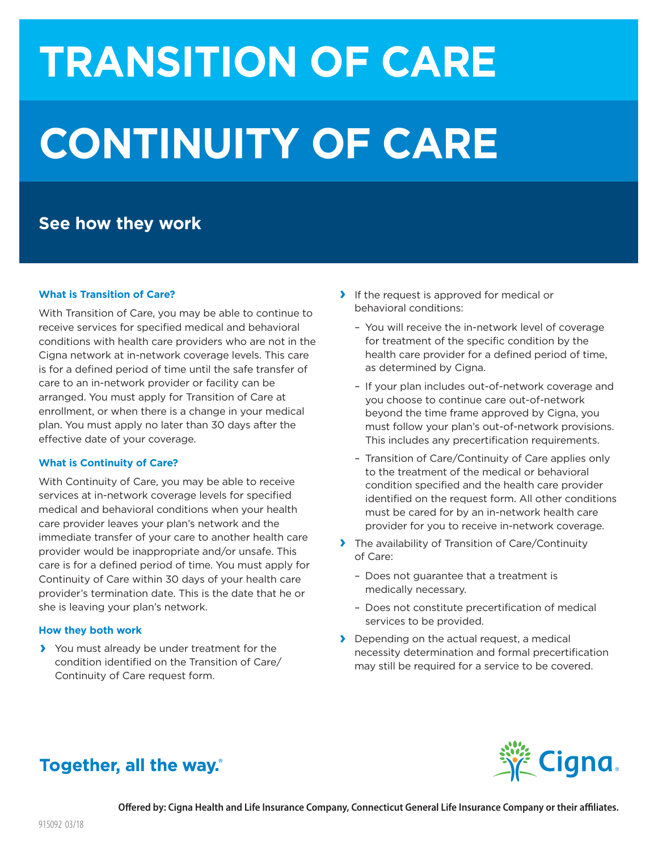# **TRANSITION OF CARE CONTINUITY OF CARE**

## **See how they work**

#### **What is Transition of Care?**

With Transition of Care, you may be able to continue to receive services for specified medical and behavioral conditions with health care providers who are not in the Cigna network at in-network coverage levels. This care is for a defined period of time until the safe transfer of care to an in-network provider or facility can be arranged. You must apply for Transition of Care at enrollment, or when there is a change in your medical plan. You must apply no later than 30 days after the effective date of your coverage.

#### **What is Continuity of Care?**

With Continuity of Care, you may be able to receive services at in-network coverage levels for specified medical and behavioral conditions when your health care provider leaves your plan's network and the immediate transfer of your care to another health care provider would be inappropriate and/or unsafe. This care is for a defined period of time. You must apply for Continuity of Care within 30 days of your health care provider's termination date. This is the date that he or she is leaving your plan's network.

#### **How they both work**

**›** You must already be under treatment for the condition identified on the Transition of Care/ Continuity of Care request form.

- **›** If the request is approved for medical or behavioral conditions:
	- You will receive the in-network level of coverage for treatment of the specific condition by the health care provider for a defined period of time, as determined by Cigna.
	- If your plan includes out-of-network coverage and you choose to continue care out-of-network beyond the time frame approved by Cigna, you must follow your plan's out-of-network provisions. This includes any precertification requirements.
	- Transition of Care/Continuity of Care applies only to the treatment of the medical or behavioral condition specified and the health care provider identified on the request form. All other conditions must be cared for by an in-network health care provider for you to receive in-network coverage.
- **›** The availability of Transition of Care/Continuity of Care:
	- Does not guarantee that a treatment is medically necessary.
	- Does not constitute precertification of medical services to be provided.
- **›** Depending on the actual request, a medical necessity determination and formal precertification may still be required for a service to be covered.



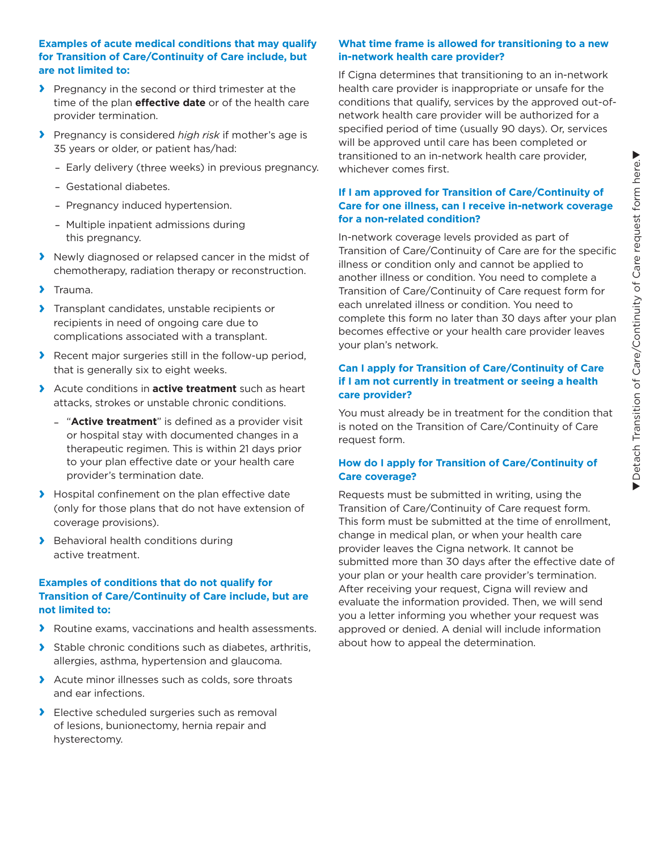#### **Examples of acute medical conditions that may qualify for Transition of Care/Continuity of Care include, but are not limited to:**

- **›** Pregnancy in the second or third trimester at the time of the plan **effective date** or of the health care provider termination.
- **›** Pregnancy is considered *high risk* if mother's age is 35 years or older, or patient has/had:
	- –Early delivery (three weeks) in previous pregnancy.
	- –Gestational diabetes.
	- –Pregnancy induced hypertension.
	- –Multiple inpatient admissions during this pregnancy.
- **›** Newly diagnosed or relapsed cancer in the midst of chemotherapy, radiation therapy or reconstruction.
- **›** Trauma.
- **›** Transplant candidates, unstable recipients or recipients in need of ongoing care due to complications associated with a transplant.
- **›** Recent major surgeries still in the follow-up period, that is generally six to eight weeks.
- **›** Acute conditions in **active treatment** such as heart attacks, strokes or unstable chronic conditions.
	- "**Active treatment**" is defined as a provider visit or hospital stay with documented changes in a therapeutic regimen. This is within 21 days prior to your plan effective date or your health care provider's termination date.
- **›** Hospital confinement on the plan effective date (only for those plans that do not have extension of coverage provisions).
- **›** Behavioral health conditions during active treatment.

#### **Examples of conditions that do not qualify for Transition of Care/Continuity of Care include, but are not limited to:**

- **›** Routine exams, vaccinations and health assessments.
- **›** Stable chronic conditions such as diabetes, arthritis, allergies, asthma, hypertension and glaucoma.
- **›** Acute minor illnesses such as colds, sore throats and ear infections.
- **›** Elective scheduled surgeries such as removal of lesions, bunionectomy, hernia repair and hysterectomy.

#### **What time frame is allowed for transitioning to a new in-network health care provider?**

If Cigna determines that transitioning to an in-network health care provider is inappropriate or unsafe for the conditions that qualify, services by the approved out-ofnetwork health care provider will be authorized for a specified period of time (usually 90 days). Or, services will be approved until care has been completed or transitioned to an in-network health care provider, whichever comes first.

#### **If I am approved for Transition of Care/Continuity of Care for one illness, can I receive in-network coverage for a non-related condition?**

In-network coverage levels provided as part of Transition of Care/Continuity of Care are for the specific illness or condition only and cannot be applied to another illness or condition. You need to complete a Transition of Care/Continuity of Care request form for each unrelated illness or condition. You need to complete this form no later than 30 days after your plan becomes effective or your health care provider leaves your plan's network.

#### **Can I apply for Transition of Care/Continuity of Care if I am not currently in treatment or seeing a health care provider?**

You must already be in treatment for the condition that is noted on the Transition of Care/Continuity of Care request form.

#### **How do I apply for Transition of Care/Continuity of Care coverage?**

Requests must be submitted in writing, using the Transition of Care/Continuity of Care request form. This form must be submitted at the time of enrollment, change in medical plan, or when your health care provider leaves the Cigna network. It cannot be submitted more than 30 days after the effective date of your plan or your health care provider's termination. After receiving your request, Cigna will review and evaluate the information provided. Then, we will send you a letter informing you whether your request was approved or denied. A denial will include information about how to appeal the determination.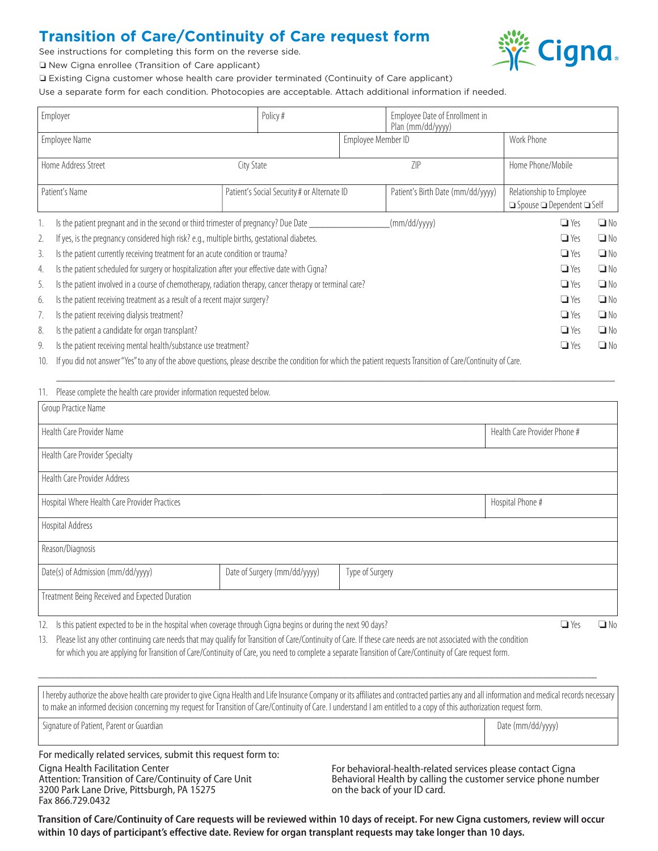## **Transition of Care/Continuity of Care request form**

See instructions for completing this form on the reverse side.



o New Cigna enrollee (Transition of Care applicant)

o Existing Cigna customer whose health care provider terminated (Continuity of Care applicant)

Use a separate form for each condition. Photocopies are acceptable. Attach additional information if needed.

| Employer            |                                                                                                                                                            |                                             | Policy#    |                                   | Employee Date of Enrollment in<br>Plan (mm/dd/yyyy) |                                            |           |
|---------------------|------------------------------------------------------------------------------------------------------------------------------------------------------------|---------------------------------------------|------------|-----------------------------------|-----------------------------------------------------|--------------------------------------------|-----------|
| Employee Name       |                                                                                                                                                            |                                             |            | Employee Member ID                |                                                     | Work Phone                                 |           |
|                     |                                                                                                                                                            |                                             |            |                                   |                                                     |                                            |           |
| Home Address Street |                                                                                                                                                            | City State                                  |            | 7IP                               |                                                     | Home Phone/Mobile                          |           |
|                     |                                                                                                                                                            |                                             |            |                                   |                                                     |                                            |           |
| Patient's Name      |                                                                                                                                                            | Patient's Social Security # or Alternate ID |            | Patient's Birth Date (mm/dd/yyyy) | Relationship to Employee                            |                                            |           |
|                     |                                                                                                                                                            |                                             |            |                                   |                                                     | $\Box$ Spouse $\Box$ Dependent $\Box$ Self |           |
| 1.                  | Is the patient pregnant and in the second or third trimester of pregnancy? Due Date                                                                        |                                             |            |                                   | (mm/dd/yyyy)                                        | $\Box$ Yes                                 | $\Box$ No |
| 2.                  | If yes, is the pregnancy considered high risk? e.g., multiple births, gestational diabetes.                                                                | $\Box$ Yes                                  | $\Box$ No  |                                   |                                                     |                                            |           |
| 3.                  | Is the patient currently receiving treatment for an acute condition or trauma?                                                                             |                                             | $\Box$ Yes | $\Box$ No                         |                                                     |                                            |           |
| 4.                  | Is the patient scheduled for surgery or hospitalization after your effective date with Cigna?                                                              | $\Box$ Yes                                  | $\Box$ No  |                                   |                                                     |                                            |           |
| 5.                  | Is the patient involved in a course of chemotherapy, radiation therapy, cancer therapy or terminal care?                                                   | $\Box$ Yes                                  | $\Box$ No  |                                   |                                                     |                                            |           |
| 6.                  | Is the patient receiving treatment as a result of a recent major surgery?                                                                                  | $\Box$ Yes                                  | $\Box$ No  |                                   |                                                     |                                            |           |
|                     | Is the patient receiving dialysis treatment?                                                                                                               |                                             |            |                                   |                                                     | $\Box$ Yes                                 | $\Box$ No |
| 8.                  | Is the patient a candidate for organ transplant?                                                                                                           |                                             |            |                                   |                                                     | $\Box$ Yes                                 | $\Box$ No |
| 9.                  | Is the patient receiving mental health/substance use treatment?                                                                                            |                                             |            |                                   |                                                     | $\Box$ Yes                                 | $\Box$ No |
| $1 \cap$            | If you did not appear "Vec" to any of the above questions place describe the condition for which the patient requests Iransition of Carol(optimity of Caro |                                             |            |                                   |                                                     |                                            |           |

10. If you did not answer "Yes" to any of the above questions, please describe the condition for which the patient requests Transition of Care/Continuity of Care.

| Please complete the health care provider information requested below.<br>11.                                                                  |                              |                 |  |  |  |  |  |  |  |
|-----------------------------------------------------------------------------------------------------------------------------------------------|------------------------------|-----------------|--|--|--|--|--|--|--|
| Group Practice Name                                                                                                                           |                              |                 |  |  |  |  |  |  |  |
| Health Care Provider Name                                                                                                                     | Health Care Provider Phone # |                 |  |  |  |  |  |  |  |
| Health Care Provider Specialty                                                                                                                |                              |                 |  |  |  |  |  |  |  |
| Health Care Provider Address                                                                                                                  |                              |                 |  |  |  |  |  |  |  |
| Hospital Where Health Care Provider Practices                                                                                                 | Hospital Phone #             |                 |  |  |  |  |  |  |  |
| Hospital Address                                                                                                                              |                              |                 |  |  |  |  |  |  |  |
| Reason/Diagnosis                                                                                                                              |                              |                 |  |  |  |  |  |  |  |
| Date(s) of Admission (mm/dd/yyyy)                                                                                                             | Date of Surgery (mm/dd/yyyy) | Type of Surgery |  |  |  |  |  |  |  |
| Treatment Being Received and Expected Duration                                                                                                |                              |                 |  |  |  |  |  |  |  |
| $\Box$ $V_{\tau}$ .<br>. 2. إن هن المستخدمات المستخدمات المستخدمات المستخدمات المتحددات المستخدمات المستخدمات المستخدمات المستخدمات<br>$\Box$ |                              |                 |  |  |  |  |  |  |  |

\_\_\_\_\_\_\_\_\_\_\_\_\_\_\_\_\_\_\_\_\_\_\_\_\_\_\_\_\_\_\_\_\_\_\_\_\_\_\_\_\_\_\_\_\_\_\_\_\_\_\_\_\_\_\_\_\_\_\_\_\_\_\_\_\_\_\_\_\_\_\_\_\_\_\_\_\_\_\_\_\_\_\_\_\_\_\_\_\_\_\_\_\_\_\_\_\_\_\_\_\_\_\_\_

12. Is this patient expected to be in the hospital when coverage through Cigna begins or during the next 90 days?  $\Box$  Yes  $\Box$  No  $\Box$  Yes  $\Box$  No

13. Please list any other continuing care needs that may qualify for Transition of Care/Continuity of Care. If these care needs are not associated with the condition for which you are applying for Transition of Care/Continuity of Care, you need to complete a separate Transition of Care/Continuity of Care request form.

I hereby authorize the above health care provider to give Cigna Health and Life Insurance Company or its affiliates and contracted parties any and all information and medical records necessary to make an informed decision concerning my request for Transition of Care/Continuity of Care. I understand I am entitled to a copy of this authorization request form. Signature of Patient, Parent or Guardian decrees and the comparison of the comparison of Date (mm/dd/yyyy)

\_\_\_\_\_\_\_\_\_\_\_\_\_\_\_\_\_\_\_\_\_\_\_\_\_\_\_\_\_\_\_\_\_\_\_\_\_\_\_\_\_\_\_\_\_\_\_\_\_\_\_\_\_\_\_\_\_\_\_\_\_\_\_\_\_\_\_\_\_\_\_\_\_\_\_\_\_\_\_\_\_\_\_\_\_\_\_\_\_\_\_\_\_\_\_\_\_\_\_\_\_\_\_\_

For medically related services, submit this request form to:

Cigna Health Facilitation Center Attention: Transition of Care/Continuity of Care Unit 3200 Park Lane Drive, Pittsburgh, PA 15275 Fax 866.729.0432

For behavioral-health-related services please contact Cigna Behavioral Health by calling the customer service phone number on the back of your ID card.

**Transition of Care/Continuity of Care requests will be reviewed within 10 days of receipt. For new Cigna customers, review will occur within 10 days of participant's effective date. Review for organ transplant requests may take longer than 10 days.**